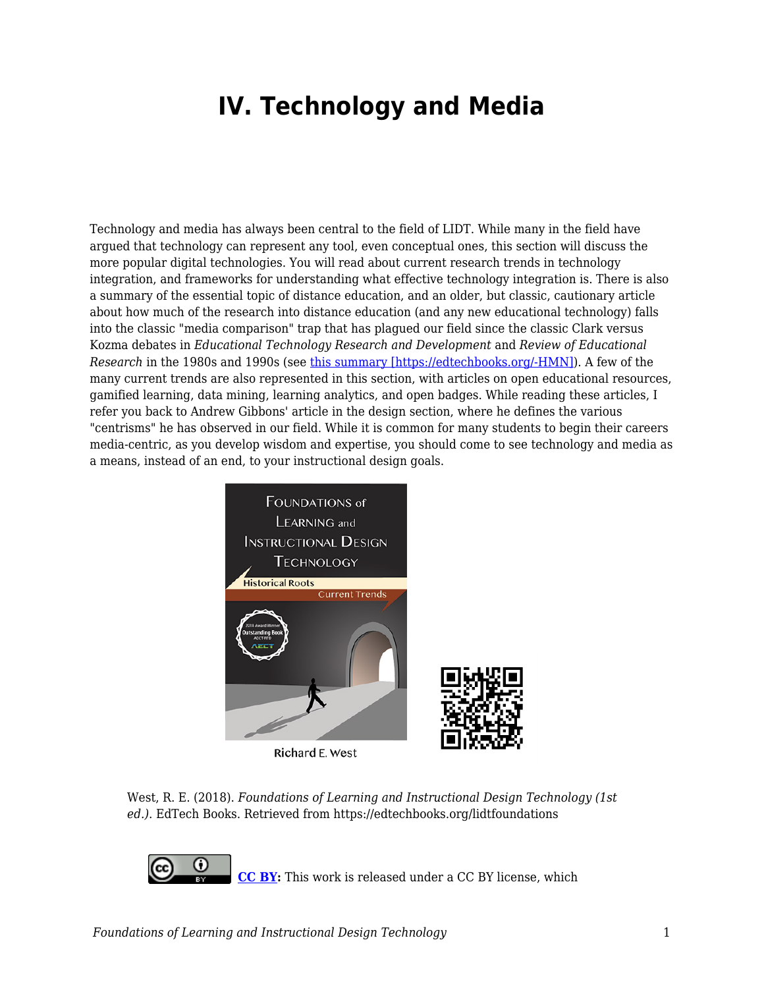## **IV. Technology and Media**

Technology and media has always been central to the field of LIDT. While many in the field have argued that technology can represent any tool, even conceptual ones, this section will discuss the more popular digital technologies. You will read about current research trends in technology integration, and frameworks for understanding what effective technology integration is. There is also a summary of the essential topic of distance education, and an older, but classic, cautionary article about how much of the research into distance education (and any new educational technology) falls into the classic "media comparison" trap that has plagued our field since the classic Clark versus Kozma debates in *Educational Technology Research and Development* and *Review of Educational Research* in the 1980s and 1990s (see [this summary \[https://edtechbooks.org/-HMN\]\)](http://edutechwiki.unige.ch/en/The_media_debate). A few of the many current trends are also represented in this section, with articles on open educational resources, gamified learning, data mining, learning analytics, and open badges. While reading these articles, I refer you back to Andrew Gibbons' article in the design section, where he defines the various "centrisms" he has observed in our field. While it is common for many students to begin their careers media-centric, as you develop wisdom and expertise, you should come to see technology and media as a means, instead of an end, to your instructional design goals.



Richard E. West



**[CC BY](https://creativecommons.org/licenses/by/4.0):** This work is released under a CC BY license, which